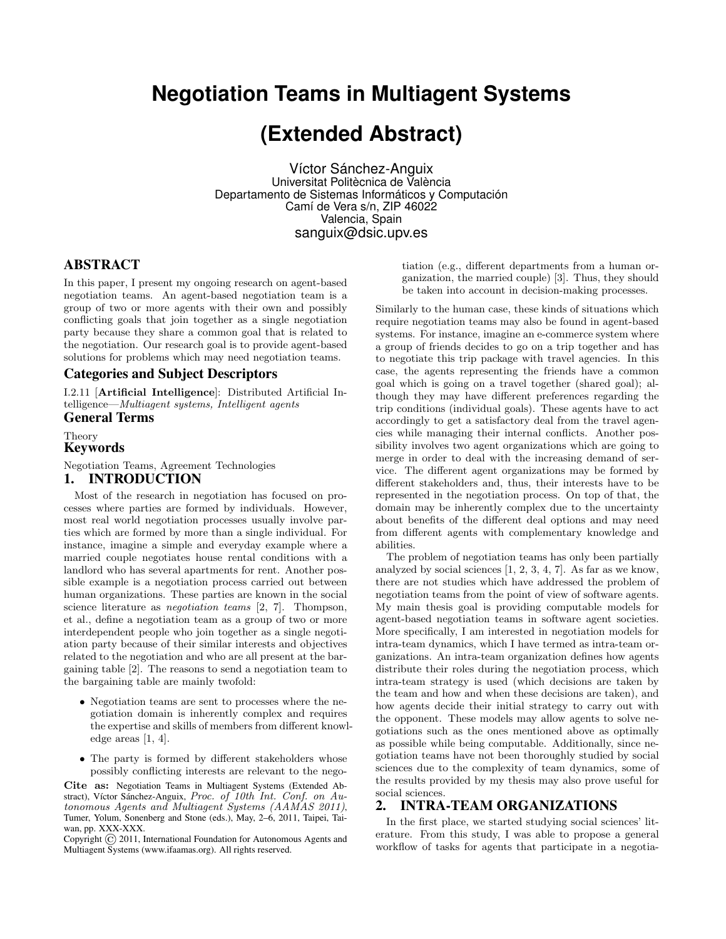# **Negotiation Teams in Multiagent Systems**

# **(Extended Abstract)**

Víctor Sánchez-Anguix Universitat Politècnica de València Departamento de Sistemas Informáticos y Computación Camí de Vera s/n, ZIP 46022 Valencia, Spain sanguix@dsic.upv.es

## ABSTRACT

In this paper, I present my ongoing research on agent-based negotiation teams. An agent-based negotiation team is a group of two or more agents with their own and possibly conflicting goals that join together as a single negotiation party because they share a common goal that is related to the negotiation. Our research goal is to provide agent-based solutions for problems which may need negotiation teams.

### Categories and Subject Descriptors

I.2.11 [Artificial Intelligence]: Distributed Artificial Intelligence—Multiagent systems, Intelligent agents

## General Terms

Theory

## Keywords

Negotiation Teams, Agreement Technologies 1. INTRODUCTION

Most of the research in negotiation has focused on processes where parties are formed by individuals. However, most real world negotiation processes usually involve parties which are formed by more than a single individual. For instance, imagine a simple and everyday example where a married couple negotiates house rental conditions with a landlord who has several apartments for rent. Another possible example is a negotiation process carried out between human organizations. These parties are known in the social science literature as *negotiation teams* [2, 7]. Thompson, et al., define a negotiation team as a group of two or more interdependent people who join together as a single negotiation party because of their similar interests and objectives related to the negotiation and who are all present at the bar-

## gaining table [2]. The reasons to send a negotiation team to the bargaining table are mainly twofold:

- Negotiation teams are sent to processes where the negotiation domain is inherently complex and requires the expertise and skills of members from different knowledge areas [1, 4].
- The party is formed by different stakeholders whose possibly conflicting interests are relevant to the nego-

Cite as: Negotiation Teams in Multiagent Systems (Extended Abstract), Víctor Sánchez-Anguix, Proc. of 10th Int. Conf. on Autonomous Agents and Multiagent Systems (AAMAS 2011), Tumer, Yolum, Sonenberg and Stone (eds.), May, 2–6, 2011, Taipei, Taiwan, pp. XXX-XXX.

Copyright  $\odot$  2011, International Foundation for Autonomous Agents and Multiagent Systems (www.ifaamas.org). All rights reserved.

tiation (e.g., different departments from a human organization, the married couple) [3]. Thus, they should be taken into account in decision-making processes.

Similarly to the human case, these kinds of situations which require negotiation teams may also be found in agent-based systems. For instance, imagine an e-commerce system where a group of friends decides to go on a trip together and has to negotiate this trip package with travel agencies. In this case, the agents representing the friends have a common goal which is going on a travel together (shared goal); although they may have different preferences regarding the trip conditions (individual goals). These agents have to act accordingly to get a satisfactory deal from the travel agencies while managing their internal conflicts. Another possibility involves two agent organizations which are going to merge in order to deal with the increasing demand of service. The different agent organizations may be formed by different stakeholders and, thus, their interests have to be represented in the negotiation process. On top of that, the domain may be inherently complex due to the uncertainty about benefits of the different deal options and may need from different agents with complementary knowledge and abilities.

The problem of negotiation teams has only been partially analyzed by social sciences [1, 2, 3, 4, 7]. As far as we know, there are not studies which have addressed the problem of negotiation teams from the point of view of software agents. My main thesis goal is providing computable models for agent-based negotiation teams in software agent societies. More specifically, I am interested in negotiation models for intra-team dynamics, which I have termed as intra-team organizations. An intra-team organization defines how agents distribute their roles during the negotiation process, which intra-team strategy is used (which decisions are taken by the team and how and when these decisions are taken), and how agents decide their initial strategy to carry out with the opponent. These models may allow agents to solve negotiations such as the ones mentioned above as optimally as possible while being computable. Additionally, since negotiation teams have not been thoroughly studied by social sciences due to the complexity of team dynamics, some of the results provided by my thesis may also prove useful for social sciences.

## 2. INTRA-TEAM ORGANIZATIONS

In the first place, we started studying social sciences' literature. From this study, I was able to propose a general workflow of tasks for agents that participate in a negotia